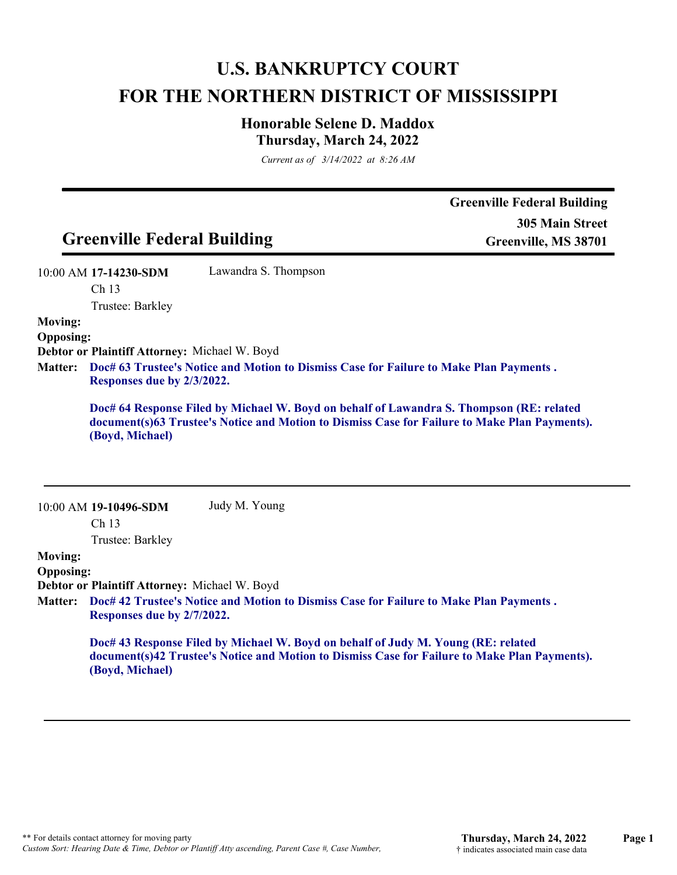# **U.S. BANKRUPTCY COURT FOR THE NORTHERN DISTRICT OF MISSISSIPPI**

## **Honorable Selene D. Maddox Thursday, March 24, 2022**

*Current as of 3/14/2022 at 8:26 AM*

|                  |                                                                             |                                                                                          | <b>Greenville Federal Building</b>                                                            |
|------------------|-----------------------------------------------------------------------------|------------------------------------------------------------------------------------------|-----------------------------------------------------------------------------------------------|
|                  |                                                                             |                                                                                          | <b>305 Main Street</b>                                                                        |
|                  | <b>Greenville Federal Building</b>                                          |                                                                                          | Greenville, MS 38701                                                                          |
|                  | 10:00 AM 17-14230-SDM                                                       | Lawandra S. Thompson                                                                     |                                                                                               |
|                  | Ch 13                                                                       |                                                                                          |                                                                                               |
|                  | Trustee: Barkley                                                            |                                                                                          |                                                                                               |
| <b>Moving:</b>   |                                                                             |                                                                                          |                                                                                               |
| <b>Opposing:</b> | Debtor or Plaintiff Attorney: Michael W. Boyd                               |                                                                                          |                                                                                               |
| <b>Matter:</b>   |                                                                             | Doc# 63 Trustee's Notice and Motion to Dismiss Case for Failure to Make Plan Payments.   |                                                                                               |
|                  | Responses due by 2/3/2022.                                                  |                                                                                          |                                                                                               |
|                  |                                                                             | Doc# 64 Response Filed by Michael W. Boyd on behalf of Lawandra S. Thompson (RE: related |                                                                                               |
|                  | (Boyd, Michael)                                                             |                                                                                          | document(s)63 Trustee's Notice and Motion to Dismiss Case for Failure to Make Plan Payments). |
|                  | 10:00 AM 19-10496-SDM                                                       | Judy M. Young                                                                            |                                                                                               |
|                  | Ch <sub>13</sub>                                                            |                                                                                          |                                                                                               |
|                  | Trustee: Barkley                                                            |                                                                                          |                                                                                               |
| <b>Moving:</b>   |                                                                             |                                                                                          |                                                                                               |
| <b>Opposing:</b> |                                                                             |                                                                                          |                                                                                               |
| <b>Matter:</b>   | Debtor or Plaintiff Attorney: Michael W. Boyd<br>Responses due by 2/7/2022. | Doc# 42 Trustee's Notice and Motion to Dismiss Case for Failure to Make Plan Payments.   |                                                                                               |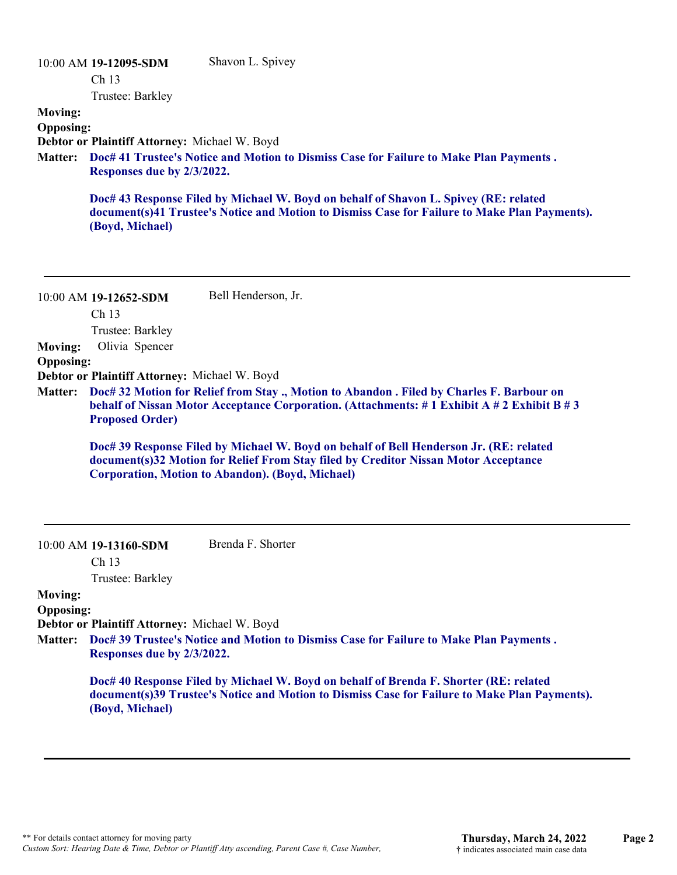|                  | 10:00 AM 19-12095-SDM                                | Shavon L. Spivey                                                                                                                                                                      |
|------------------|------------------------------------------------------|---------------------------------------------------------------------------------------------------------------------------------------------------------------------------------------|
|                  | Ch <sub>13</sub>                                     |                                                                                                                                                                                       |
|                  | Trustee: Barkley                                     |                                                                                                                                                                                       |
| <b>Moving:</b>   |                                                      |                                                                                                                                                                                       |
| <b>Opposing:</b> |                                                      |                                                                                                                                                                                       |
|                  | <b>Debtor or Plaintiff Attorney: Michael W. Boyd</b> |                                                                                                                                                                                       |
| <b>Matter:</b>   | Responses due by 2/3/2022.                           | Doc# 41 Trustee's Notice and Motion to Dismiss Case for Failure to Make Plan Payments.                                                                                                |
|                  | (Boyd, Michael)                                      | Doc# 43 Response Filed by Michael W. Boyd on behalf of Shavon L. Spivey (RE: related<br>document(s)41 Trustee's Notice and Motion to Dismiss Case for Failure to Make Plan Payments). |

10:00 AM **19-12652-SDM**  Ch 13 Trustee: Barkley Bell Henderson, Jr. **Moving:** Olivia Spencer **Opposing: Debtor or Plaintiff Attorney:** Michael W. Boyd **Doc# 32 Motion for Relief from Stay ., Motion to Abandon . Filed by Charles F. Barbour on Matter: behalf of Nissan Motor Acceptance Corporation. (Attachments: # 1 Exhibit A # 2 Exhibit B # 3 Proposed Order) Doc# 39 Response Filed by Michael W. Boyd on behalf of Bell Henderson Jr. (RE: related document(s)32 Motion for Relief From Stay filed by Creditor Nissan Motor Acceptance Corporation, Motion to Abandon). (Boyd, Michael)** 10:00 AM **19-13160-SDM**  Ch 13 Trustee: Barkley Brenda F. Shorter

#### **Moving:**

**Opposing:**

**Debtor or Plaintiff Attorney:** Michael W. Boyd

**Doc# 39 Trustee's Notice and Motion to Dismiss Case for Failure to Make Plan Payments . Matter: Responses due by 2/3/2022.**

**Doc# 40 Response Filed by Michael W. Boyd on behalf of Brenda F. Shorter (RE: related document(s)39 Trustee's Notice and Motion to Dismiss Case for Failure to Make Plan Payments). (Boyd, Michael)**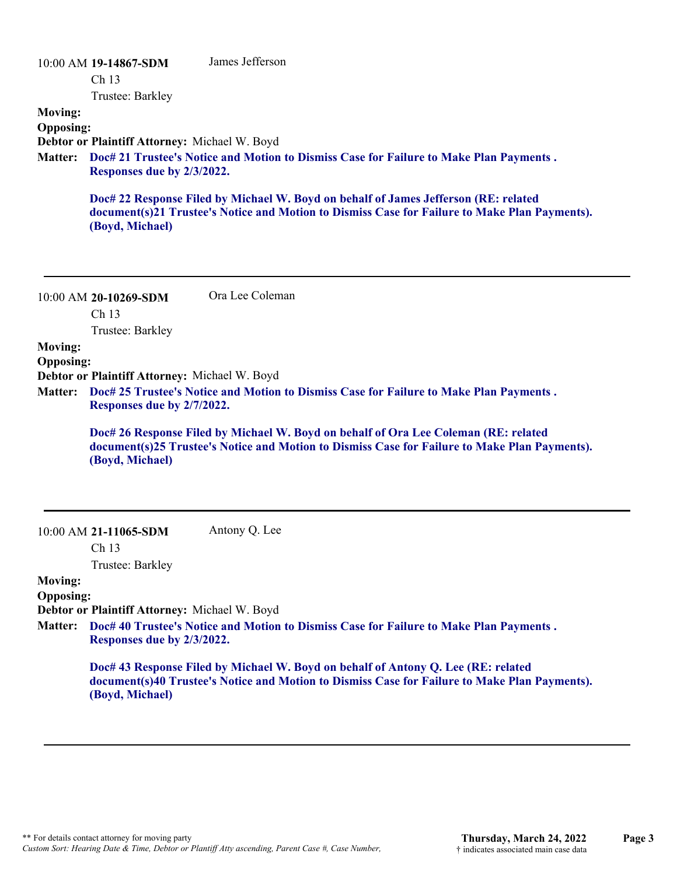| <b>Moving:</b>                     | 10:00 AM 19-14867-SDM<br>Ch <sub>13</sub><br>Trustee: Barkley               | James Jefferson                                                                                                                                                                      |
|------------------------------------|-----------------------------------------------------------------------------|--------------------------------------------------------------------------------------------------------------------------------------------------------------------------------------|
| <b>Opposing:</b>                   | Debtor or Plaintiff Attorney: Michael W. Boyd                               |                                                                                                                                                                                      |
| <b>Matter:</b>                     | Responses due by 2/3/2022.                                                  | Doc# 21 Trustee's Notice and Motion to Dismiss Case for Failure to Make Plan Payments.                                                                                               |
|                                    | (Boyd, Michael)                                                             | Doc# 22 Response Filed by Michael W. Boyd on behalf of James Jefferson (RE: related<br>document(s)21 Trustee's Notice and Motion to Dismiss Case for Failure to Make Plan Payments). |
|                                    |                                                                             |                                                                                                                                                                                      |
|                                    | 10:00 AM 20-10269-SDM                                                       | Ora Lee Coleman                                                                                                                                                                      |
|                                    | Ch 13<br>Trustee: Barkley                                                   |                                                                                                                                                                                      |
| <b>Moving:</b><br><b>Opposing:</b> |                                                                             |                                                                                                                                                                                      |
| <b>Matter:</b>                     | Debtor or Plaintiff Attorney: Michael W. Boyd<br>Responses due by 2/7/2022. | Doc# 25 Trustee's Notice and Motion to Dismiss Case for Failure to Make Plan Payments.                                                                                               |
|                                    | (Boyd, Michael)                                                             | Doc# 26 Response Filed by Michael W. Boyd on behalf of Ora Lee Coleman (RE: related<br>document(s)25 Trustee's Notice and Motion to Dismiss Case for Failure to Make Plan Payments). |
|                                    | 10:00 AM 21-11065-SDM<br>Ch <sub>13</sub>                                   | Antony Q. Lee                                                                                                                                                                        |
|                                    | Trustee: Barkley                                                            |                                                                                                                                                                                      |
| <b>Moving:</b>                     |                                                                             |                                                                                                                                                                                      |
| <b>Opposing:</b>                   |                                                                             |                                                                                                                                                                                      |
|                                    | Debtor or Plaintiff Attorney: Michael W. Boyd                               |                                                                                                                                                                                      |
|                                    |                                                                             | Matter: Doc# 40 Trustee's Notice and Motion to Dismiss Case for Failure to Make Plan Payments.                                                                                       |

**Responses due by 2/3/2022.**

**Doc# 43 Response Filed by Michael W. Boyd on behalf of Antony Q. Lee (RE: related document(s)40 Trustee's Notice and Motion to Dismiss Case for Failure to Make Plan Payments). (Boyd, Michael)**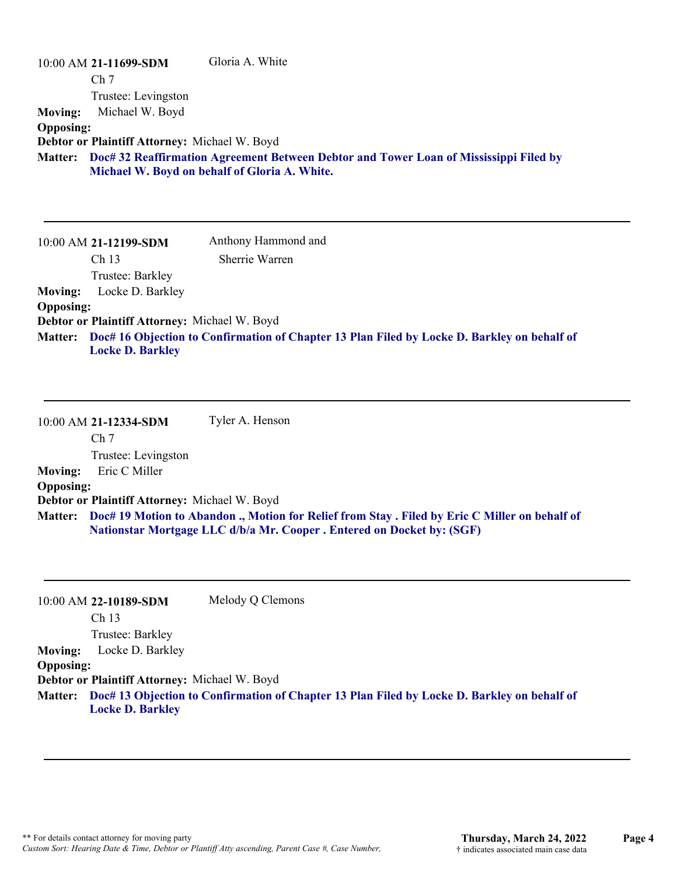|                  | $10:00$ AM 21-11699-SDM                       | Gloria A. White                                                                                                                                |
|------------------|-----------------------------------------------|------------------------------------------------------------------------------------------------------------------------------------------------|
|                  | Ch <sub>7</sub>                               |                                                                                                                                                |
|                  | Trustee: Levingston                           |                                                                                                                                                |
| <b>Moving:</b>   | Michael W. Boyd                               |                                                                                                                                                |
| <b>Opposing:</b> |                                               |                                                                                                                                                |
|                  | Debtor or Plaintiff Attorney: Michael W. Boyd |                                                                                                                                                |
|                  |                                               | Matter: Doc# 32 Reaffirmation Agreement Between Debtor and Tower Loan of Mississippi Filed by<br>Michael W. Boyd on behalf of Gloria A. White. |
|                  |                                               |                                                                                                                                                |
|                  | 10:00 AM 21-12199-SDM                         | Anthony Hammond and                                                                                                                            |

|                  | 10:00 AM <b>21-12199-SDM</b>                  | Allulolly Hammond and                                                                               |
|------------------|-----------------------------------------------|-----------------------------------------------------------------------------------------------------|
|                  | Ch <sub>13</sub>                              | Sherrie Warren                                                                                      |
|                  | Trustee: Barkley                              |                                                                                                     |
| <b>Moving:</b>   | Locke D. Barkley                              |                                                                                                     |
| <b>Opposing:</b> |                                               |                                                                                                     |
|                  | Debtor or Plaintiff Attorney: Michael W. Boyd |                                                                                                     |
|                  | <b>Locke D. Barkley</b>                       | Matter: Doc# 16 Objection to Confirmation of Chapter 13 Plan Filed by Locke D. Barkley on behalf of |

10:00 AM **21-12334-SDM**  Ch 7 Trustee: Levingston Tyler A. Henson **Moving:** Eric C Miller **Opposing: Debtor or Plaintiff Attorney:** Michael W. Boyd **Doc# 19 Motion to Abandon ., Motion for Relief from Stay . Filed by Eric C Miller on behalf of Matter: Nationstar Mortgage LLC d/b/a Mr. Cooper . Entered on Docket by: (SGF)**

|                  | 10:00 AM 22-10189-SDM                         | Melody Q Clemons                                                                                    |
|------------------|-----------------------------------------------|-----------------------------------------------------------------------------------------------------|
|                  | Ch <sub>13</sub>                              |                                                                                                     |
|                  | Trustee: Barkley                              |                                                                                                     |
|                  | <b>Moving:</b> Locke D. Barkley               |                                                                                                     |
| <b>Opposing:</b> |                                               |                                                                                                     |
|                  | Debtor or Plaintiff Attorney: Michael W. Boyd |                                                                                                     |
|                  |                                               | Matter: Doc# 13 Objection to Confirmation of Chapter 13 Plan Filed by Locke D. Barkley on behalf of |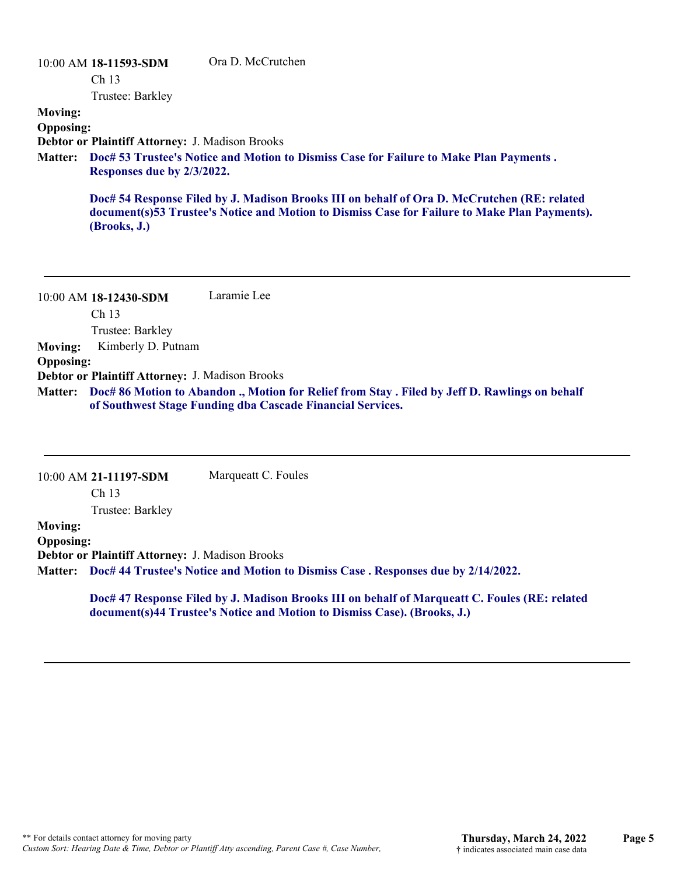### 10:00 AM **18-11593-SDM**  Ch 13 Trustee: Barkley Ora D. McCrutchen **Moving: Opposing: Debtor or Plaintiff Attorney:** J. Madison Brooks **Doc# 53 Trustee's Notice and Motion to Dismiss Case for Failure to Make Plan Payments . Matter: Responses due by 2/3/2022. Doc# 54 Response Filed by J. Madison Brooks III on behalf of Ora D. McCrutchen (RE: related document(s)53 Trustee's Notice and Motion to Dismiss Case for Failure to Make Plan Payments). (Brooks, J.)**

10:00 AM **18-12430-SDM**  Ch 13 Trustee: Barkley Laramie Lee **Moving:** Kimberly D. Putnam **Opposing: Debtor or Plaintiff Attorney:** J. Madison Brooks **Doc# 86 Motion to Abandon ., Motion for Relief from Stay . Filed by Jeff D. Rawlings on behalf Matter: of Southwest Stage Funding dba Cascade Financial Services.**

|                  | 10:00 AM 21-11197-SDM                                                                    | Marqueatt C. Foules                                                                                                                                                       |  |
|------------------|------------------------------------------------------------------------------------------|---------------------------------------------------------------------------------------------------------------------------------------------------------------------------|--|
|                  | Ch <sub>13</sub>                                                                         |                                                                                                                                                                           |  |
|                  | Trustee: Barkley                                                                         |                                                                                                                                                                           |  |
| <b>Moving:</b>   |                                                                                          |                                                                                                                                                                           |  |
| <b>Opposing:</b> |                                                                                          |                                                                                                                                                                           |  |
|                  | <b>Debtor or Plaintiff Attorney: J. Madison Brooks</b>                                   |                                                                                                                                                                           |  |
|                  | Matter: Doc# 44 Trustee's Notice and Motion to Dismiss Case. Responses due by 2/14/2022. |                                                                                                                                                                           |  |
|                  |                                                                                          | Doc# 47 Response Filed by J. Madison Brooks III on behalf of Marqueatt C. Foules (RE: related<br>document(s)44 Trustee's Notice and Motion to Dismiss Case). (Brooks, J.) |  |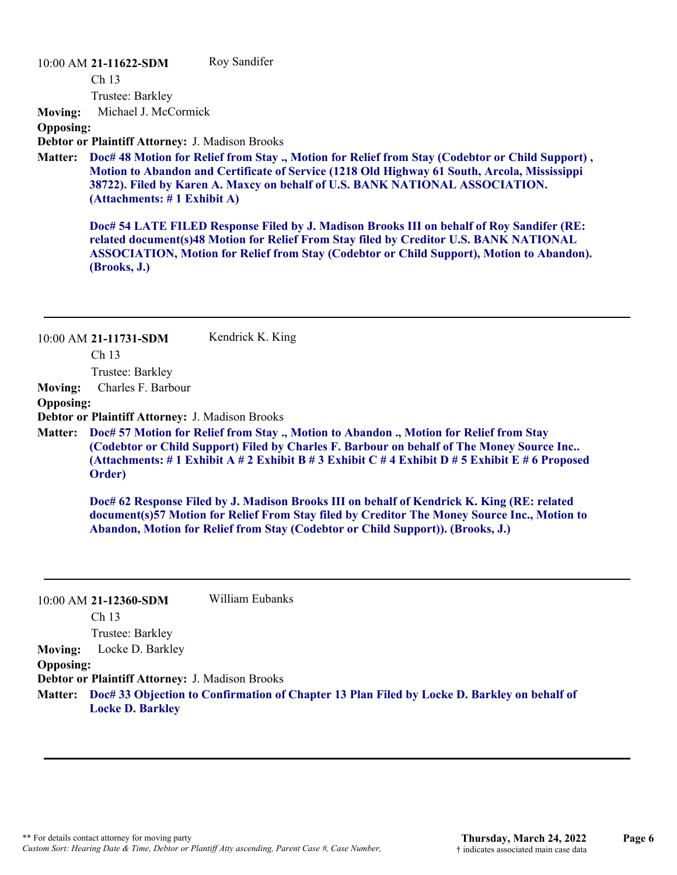#### 10:00 AM **21-11622-SDM**

Ch 13

Roy Sandifer

Trustee: Barkley

**Moving:** Michael J. McCormick

**Opposing:**

**Debtor or Plaintiff Attorney:** J. Madison Brooks

**Doc# 48 Motion for Relief from Stay ., Motion for Relief from Stay (Codebtor or Child Support) , Matter: Motion to Abandon and Certificate of Service (1218 Old Highway 61 South, Arcola, Mississippi 38722). Filed by Karen A. Maxcy on behalf of U.S. BANK NATIONAL ASSOCIATION. (Attachments: # 1 Exhibit A)**

**Doc# 54 LATE FILED Response Filed by J. Madison Brooks III on behalf of Roy Sandifer (RE: related document(s)48 Motion for Relief From Stay filed by Creditor U.S. BANK NATIONAL ASSOCIATION, Motion for Relief from Stay (Codebtor or Child Support), Motion to Abandon). (Brooks, J.)**

|                  | $10:00$ AM 21-11731-SDM<br>Ch <sub>13</sub>            | Kendrick K. King                                                                                                                                                                                                                                                                       |
|------------------|--------------------------------------------------------|----------------------------------------------------------------------------------------------------------------------------------------------------------------------------------------------------------------------------------------------------------------------------------------|
|                  | Trustee: Barkley                                       |                                                                                                                                                                                                                                                                                        |
| <b>Moving:</b>   | Charles F. Barbour                                     |                                                                                                                                                                                                                                                                                        |
| <b>Opposing:</b> |                                                        |                                                                                                                                                                                                                                                                                        |
|                  | <b>Debtor or Plaintiff Attorney: J. Madison Brooks</b> |                                                                                                                                                                                                                                                                                        |
| <b>Matter:</b>   | Order)                                                 | Doc# 57 Motion for Relief from Stay., Motion to Abandon., Motion for Relief from Stay<br>(Codebtor or Child Support) Filed by Charles F. Barbour on behalf of The Money Source Inc<br>(Attachments: # 1 Exhibit A # 2 Exhibit B # 3 Exhibit C # 4 Exhibit D # 5 Exhibit E # 6 Proposed |
|                  |                                                        | Doc# 62 Response Filed by J. Madison Brooks III on behalf of Kendrick K. King (RE: related<br>document(s)57 Motion for Relief From Stay filed by Creditor The Money Source Inc., Motion to<br>Abandon, Motion for Relief from Stay (Codebtor or Child Support)). (Brooks, J.)          |

|                  | 10:00 AM 21-12360-SDM                                  | William Eubanks                                                                                     |
|------------------|--------------------------------------------------------|-----------------------------------------------------------------------------------------------------|
|                  | Ch 13                                                  |                                                                                                     |
|                  | Trustee: Barkley                                       |                                                                                                     |
| <b>Moving:</b>   | Locke D. Barkley                                       |                                                                                                     |
| <b>Opposing:</b> |                                                        |                                                                                                     |
|                  | <b>Debtor or Plaintiff Attorney: J. Madison Brooks</b> |                                                                                                     |
|                  | <b>Locke D. Barkley</b>                                | Matter: Doc# 33 Objection to Confirmation of Chapter 13 Plan Filed by Locke D. Barkley on behalf of |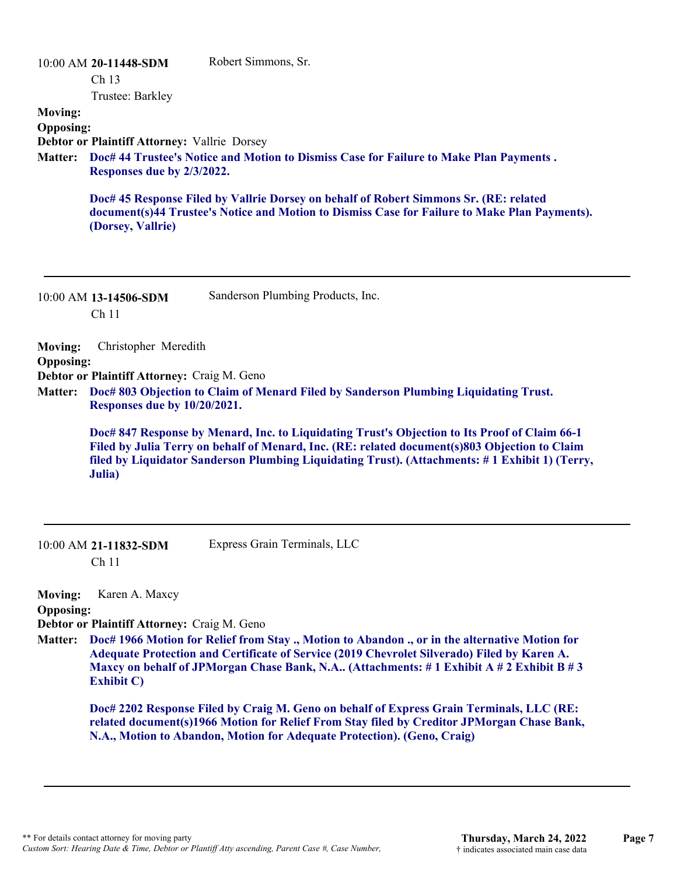| <b>Moving:</b>                     | 10:00 AM 20-11448-SDM<br>Ch <sub>13</sub><br>Trustee: Barkley               | Robert Simmons, Sr.                                                                                                                                                                                                                                                                              |
|------------------------------------|-----------------------------------------------------------------------------|--------------------------------------------------------------------------------------------------------------------------------------------------------------------------------------------------------------------------------------------------------------------------------------------------|
| <b>Opposing:</b><br><b>Matter:</b> | Debtor or Plaintiff Attorney: Vallrie Dorsey<br>Responses due by 2/3/2022.  | Doc# 44 Trustee's Notice and Motion to Dismiss Case for Failure to Make Plan Payments.                                                                                                                                                                                                           |
|                                    | (Dorsey, Vallrie)                                                           | Doc# 45 Response Filed by Vallrie Dorsey on behalf of Robert Simmons Sr. (RE: related<br>document(s)44 Trustee's Notice and Motion to Dismiss Case for Failure to Make Plan Payments).                                                                                                           |
|                                    | 10:00 AM 13-14506-SDM<br>Ch <sub>11</sub>                                   | Sanderson Plumbing Products, Inc.                                                                                                                                                                                                                                                                |
| <b>Moving:</b><br><b>Opposing:</b> | Christopher Meredith                                                        |                                                                                                                                                                                                                                                                                                  |
| <b>Matter:</b>                     | Debtor or Plaintiff Attorney: Craig M. Geno<br>Responses due by 10/20/2021. | Doc# 803 Objection to Claim of Menard Filed by Sanderson Plumbing Liquidating Trust.                                                                                                                                                                                                             |
|                                    | Julia)                                                                      | Doc# 847 Response by Menard, Inc. to Liquidating Trust's Objection to Its Proof of Claim 66-1<br>Filed by Julia Terry on behalf of Menard, Inc. (RE: related document(s)803 Objection to Claim<br>filed by Liquidator Sanderson Plumbing Liquidating Trust). (Attachments: #1 Exhibit 1) (Terry, |
|                                    | 10:00 AM 21-11832-SDM                                                       | Express Grain Terminals, LLC                                                                                                                                                                                                                                                                     |

Ch 11

**Moving:** Karen A. Maxcy

**Opposing:**

**Debtor or Plaintiff Attorney:** Craig M. Geno

**Doc# 1966 Motion for Relief from Stay ., Motion to Abandon ., or in the alternative Motion for Matter: Adequate Protection and Certificate of Service (2019 Chevrolet Silverado) Filed by Karen A. Maxcy on behalf of JPMorgan Chase Bank, N.A.. (Attachments: # 1 Exhibit A # 2 Exhibit B # 3 Exhibit C)**

**Doc# 2202 Response Filed by Craig M. Geno on behalf of Express Grain Terminals, LLC (RE: related document(s)1966 Motion for Relief From Stay filed by Creditor JPMorgan Chase Bank, N.A., Motion to Abandon, Motion for Adequate Protection). (Geno, Craig)**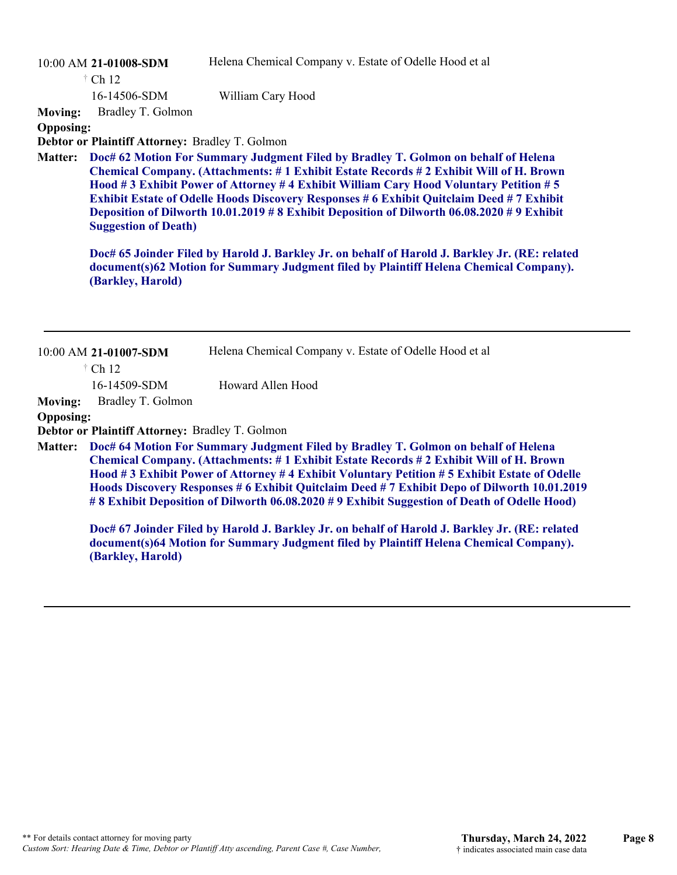Helena Chemical Company v. Estate of Odelle Hood et al

10:00 AM **21-01008-SDM**  Ch 12 †

16-14506-SDM

**Moving:** Bradley T. Golmon

**Opposing:**

**Debtor or Plaintiff Attorney:** Bradley T. Golmon

**Doc# 62 Motion For Summary Judgment Filed by Bradley T. Golmon on behalf of Helena Chemical Company. (Attachments: # 1 Exhibit Estate Records # 2 Exhibit Will of H. Brown Hood # 3 Exhibit Power of Attorney # 4 Exhibit William Cary Hood Voluntary Petition # 5 Exhibit Estate of Odelle Hoods Discovery Responses # 6 Exhibit Quitclaim Deed # 7 Exhibit Deposition of Dilworth 10.01.2019 # 8 Exhibit Deposition of Dilworth 06.08.2020 # 9 Exhibit Suggestion of Death) Matter:**

William Cary Hood

**Doc# 65 Joinder Filed by Harold J. Barkley Jr. on behalf of Harold J. Barkley Jr. (RE: related document(s)62 Motion for Summary Judgment filed by Plaintiff Helena Chemical Company). (Barkley, Harold)**

|                  | 10:00 AM 21-01007-SDM                           | Helena Chemical Company v. Estate of Odelle Hood et al                                                                                                                                                                                                                                                                                                                                                                                                                    |
|------------------|-------------------------------------------------|---------------------------------------------------------------------------------------------------------------------------------------------------------------------------------------------------------------------------------------------------------------------------------------------------------------------------------------------------------------------------------------------------------------------------------------------------------------------------|
|                  | $\dagger$ Ch 12                                 |                                                                                                                                                                                                                                                                                                                                                                                                                                                                           |
|                  | 16-14509-SDM                                    | Howard Allen Hood                                                                                                                                                                                                                                                                                                                                                                                                                                                         |
| <b>Moving:</b>   | Bradley T. Golmon                               |                                                                                                                                                                                                                                                                                                                                                                                                                                                                           |
| <b>Opposing:</b> |                                                 |                                                                                                                                                                                                                                                                                                                                                                                                                                                                           |
|                  | Debtor or Plaintiff Attorney: Bradley T. Golmon |                                                                                                                                                                                                                                                                                                                                                                                                                                                                           |
| <b>Matter:</b>   |                                                 | Doc# 64 Motion For Summary Judgment Filed by Bradley T. Golmon on behalf of Helena<br>Chemical Company. (Attachments: #1 Exhibit Estate Records #2 Exhibit Will of H. Brown<br>Hood #3 Exhibit Power of Attorney #4 Exhibit Voluntary Petition #5 Exhibit Estate of Odelle<br>Hoods Discovery Responses # 6 Exhibit Quitclaim Deed # 7 Exhibit Depo of Dilworth 10.01.2019<br>#8 Exhibit Deposition of Dilworth 06.08.2020 #9 Exhibit Suggestion of Death of Odelle Hood) |
|                  | (Barkley, Harold)                               | Doc# 67 Joinder Filed by Harold J. Barkley Jr. on behalf of Harold J. Barkley Jr. (RE: related<br>document(s)64 Motion for Summary Judgment filed by Plaintiff Helena Chemical Company).                                                                                                                                                                                                                                                                                  |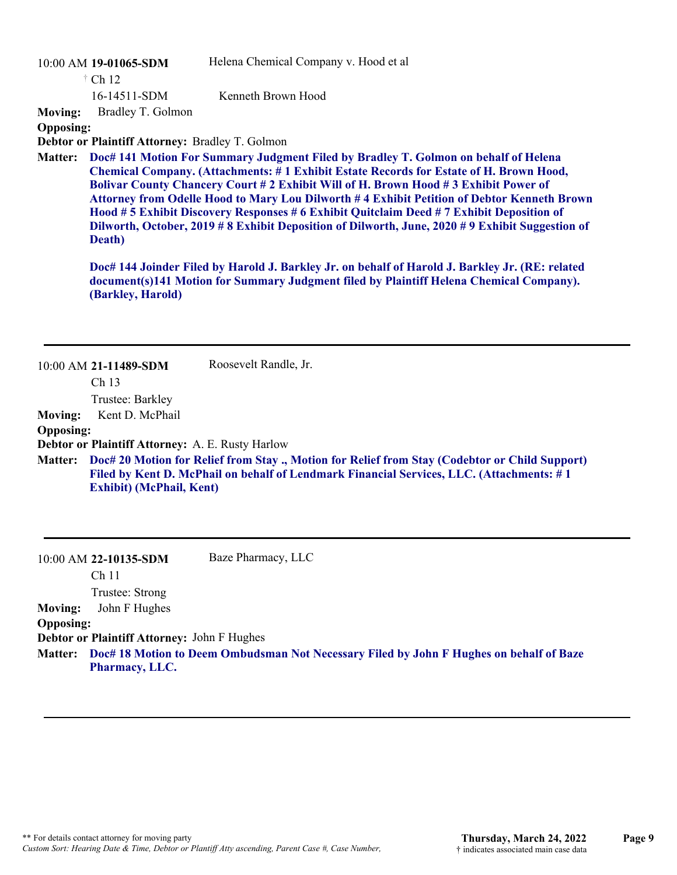|                  | 10:00 AM 19-01065-SDM                            | Helena Chemical Company v. Hood et al                                                                                                                                                                                                                                                                                                                                                                                                                                                                                                                                       |
|------------------|--------------------------------------------------|-----------------------------------------------------------------------------------------------------------------------------------------------------------------------------------------------------------------------------------------------------------------------------------------------------------------------------------------------------------------------------------------------------------------------------------------------------------------------------------------------------------------------------------------------------------------------------|
|                  | $\dagger$ Ch 12                                  |                                                                                                                                                                                                                                                                                                                                                                                                                                                                                                                                                                             |
|                  | 16-14511-SDM                                     | Kenneth Brown Hood                                                                                                                                                                                                                                                                                                                                                                                                                                                                                                                                                          |
| <b>Moving:</b>   | Bradley T. Golmon                                |                                                                                                                                                                                                                                                                                                                                                                                                                                                                                                                                                                             |
| <b>Opposing:</b> |                                                  |                                                                                                                                                                                                                                                                                                                                                                                                                                                                                                                                                                             |
|                  | Debtor or Plaintiff Attorney: Bradley T. Golmon  |                                                                                                                                                                                                                                                                                                                                                                                                                                                                                                                                                                             |
| <b>Matter:</b>   | Death)                                           | Doc# 141 Motion For Summary Judgment Filed by Bradley T. Golmon on behalf of Helena<br><b>Chemical Company. (Attachments: #1 Exhibit Estate Records for Estate of H. Brown Hood,</b><br>Bolivar County Chancery Court # 2 Exhibit Will of H. Brown Hood # 3 Exhibit Power of<br>Attorney from Odelle Hood to Mary Lou Dilworth #4 Exhibit Petition of Debtor Kenneth Brown<br>Hood # 5 Exhibit Discovery Responses # 6 Exhibit Quitclaim Deed # 7 Exhibit Deposition of<br>Dilworth, October, 2019 # 8 Exhibit Deposition of Dilworth, June, 2020 # 9 Exhibit Suggestion of |
|                  | (Barkley, Harold)                                | Doc# 144 Joinder Filed by Harold J. Barkley Jr. on behalf of Harold J. Barkley Jr. (RE: related<br>document(s)141 Motion for Summary Judgment filed by Plaintiff Helena Chemical Company).                                                                                                                                                                                                                                                                                                                                                                                  |
|                  | 10:00 AM 21-11489-SDM<br>Ch <sub>13</sub>        | Roosevelt Randle, Jr.                                                                                                                                                                                                                                                                                                                                                                                                                                                                                                                                                       |
|                  | Trustee: Barkley                                 |                                                                                                                                                                                                                                                                                                                                                                                                                                                                                                                                                                             |
| <b>Moving:</b>   | Kent D. McPhail                                  |                                                                                                                                                                                                                                                                                                                                                                                                                                                                                                                                                                             |
| <b>Opposing:</b> |                                                  |                                                                                                                                                                                                                                                                                                                                                                                                                                                                                                                                                                             |
|                  | Debtor or Plaintiff Attorney: A. E. Rusty Harlow |                                                                                                                                                                                                                                                                                                                                                                                                                                                                                                                                                                             |
| Matter:          | <b>Exhibit) (McPhail, Kent)</b>                  | Doc# 20 Motion for Relief from Stay., Motion for Relief from Stay (Codebtor or Child Support)<br>Filed by Kent D. McPhail on behalf of Lendmark Financial Services, LLC. (Attachments: #1                                                                                                                                                                                                                                                                                                                                                                                   |
|                  |                                                  |                                                                                                                                                                                                                                                                                                                                                                                                                                                                                                                                                                             |

10:00 AM **22-10135-SDM**  Ch 11 Trustee: Strong Baze Pharmacy, LLC **Moving:** John F Hughes **Opposing: Debtor or Plaintiff Attorney:** John F Hughes **Doc# 18 Motion to Deem Ombudsman Not Necessary Filed by John F Hughes on behalf of Baze Matter: Pharmacy, LLC.**